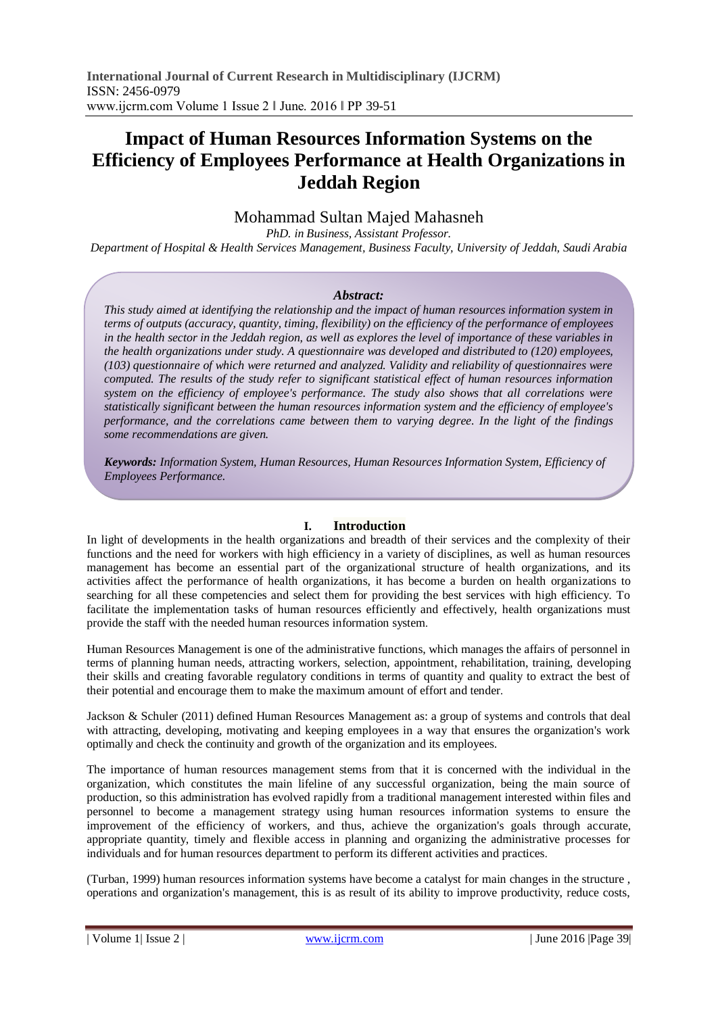# **Impact of Human Resources Information Systems on the Efficiency of Employees Performance at Health Organizations in Jeddah Region**

## Mohammad Sultan Majed Mahasneh

*PhD. in Business, Assistant Professor. Department of Hospital & Health Services Management, Business Faculty, University of Jeddah, Saudi Arabia*

#### *Abstract:*

*This study aimed at identifying the relationship and the impact of human resources information system in terms of outputs (accuracy, quantity, timing, flexibility) on the efficiency of the performance of employees in the health sector in the Jeddah region, as well as explores the level of importance of these variables in the health organizations under study. A questionnaire was developed and distributed to (120) employees, (103) questionnaire of which were returned and analyzed. Validity and reliability of questionnaires were computed. The results of the study refer to significant statistical effect of human resources information system on the efficiency of employee's performance. The study also shows that all correlations were statistically significant between the human resources information system and the efficiency of employee's performance, and the correlations came between them to varying degree. In the light of the findings some recommendations are given.*

*Keywords: Information System, Human Resources, Human Resources Information System, Efficiency of Employees Performance.*

## **I. Introduction**

In light of developments in the health organizations and breadth of their services and the complexity of their functions and the need for workers with high efficiency in a variety of disciplines, as well as human resources management has become an essential part of the organizational structure of health organizations, and its activities affect the performance of health organizations, it has become a burden on health organizations to searching for all these competencies and select them for providing the best services with high efficiency. To facilitate the implementation tasks of human resources efficiently and effectively, health organizations must provide the staff with the needed human resources information system.

Human Resources Management is one of the administrative functions, which manages the affairs of personnel in terms of planning human needs, attracting workers, selection, appointment, rehabilitation, training, developing their skills and creating favorable regulatory conditions in terms of quantity and quality to extract the best of their potential and encourage them to make the maximum amount of effort and tender.

Jackson & Schuler (2011) defined Human Resources Management as: a group of systems and controls that deal with attracting, developing, motivating and keeping employees in a way that ensures the organization's work optimally and check the continuity and growth of the organization and its employees.

The importance of human resources management stems from that it is concerned with the individual in the organization, which constitutes the main lifeline of any successful organization, being the main source of production, so this administration has evolved rapidly from a traditional management interested within files and personnel to become a management strategy using human resources information systems to ensure the improvement of the efficiency of workers, and thus, achieve the organization's goals through accurate, appropriate quantity, timely and flexible access in planning and organizing the administrative processes for individuals and for human resources department to perform its different activities and practices.

(Turban, 1999) human resources information systems have become a catalyst for main changes in the structure , operations and organization's management, this is as result of its ability to improve productivity, reduce costs,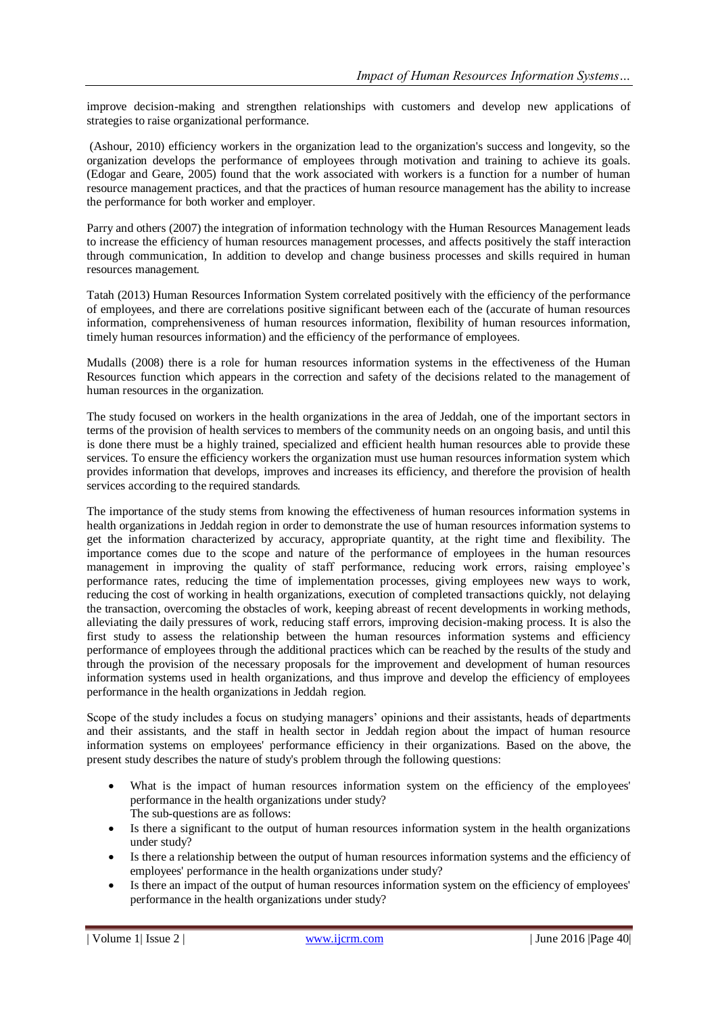improve decision-making and strengthen relationships with customers and develop new applications of strategies to raise organizational performance.

(Ashour, 2010) efficiency workers in the organization lead to the organization's success and longevity, so the organization develops the performance of employees through motivation and training to achieve its goals. (Edogar and Geare, 2005) found that the work associated with workers is a function for a number of human resource management practices, and that the practices of human resource management has the ability to increase the performance for both worker and employer.

Parry and others (2007) the integration of information technology with the Human Resources Management leads to increase the efficiency of human resources management processes, and affects positively the staff interaction through communication, In addition to develop and change business processes and skills required in human resources management.

Tatah (2013) Human Resources Information System correlated positively with the efficiency of the performance of employees, and there are correlations positive significant between each of the (accurate of human resources information, comprehensiveness of human resources information, flexibility of human resources information, timely human resources information) and the efficiency of the performance of employees.

Mudalls (2008) there is a role for human resources information systems in the effectiveness of the Human Resources function which appears in the correction and safety of the decisions related to the management of human resources in the organization.

The study focused on workers in the health organizations in the area of Jeddah, one of the important sectors in terms of the provision of health services to members of the community needs on an ongoing basis, and until this is done there must be a highly trained, specialized and efficient health human resources able to provide these services. To ensure the efficiency workers the organization must use human resources information system which provides information that develops, improves and increases its efficiency, and therefore the provision of health services according to the required standards.

The importance of the study stems from knowing the effectiveness of human resources information systems in health organizations in Jeddah region in order to demonstrate the use of human resources information systems to get the information characterized by accuracy, appropriate quantity, at the right time and flexibility. The importance comes due to the scope and nature of the performance of employees in the human resources management in improving the quality of staff performance, reducing work errors, raising employee's performance rates, reducing the time of implementation processes, giving employees new ways to work, reducing the cost of working in health organizations, execution of completed transactions quickly, not delaying the transaction, overcoming the obstacles of work, keeping abreast of recent developments in working methods, alleviating the daily pressures of work, reducing staff errors, improving decision-making process. It is also the first study to assess the relationship between the human resources information systems and efficiency performance of employees through the additional practices which can be reached by the results of the study and through the provision of the necessary proposals for the improvement and development of human resources information systems used in health organizations, and thus improve and develop the efficiency of employees performance in the health organizations in Jeddah region.

Scope of the study includes a focus on studying managers' opinions and their assistants, heads of departments and their assistants, and the staff in health sector in Jeddah region about the impact of human resource information systems on employees' performance efficiency in their organizations. Based on the above, the present study describes the nature of study's problem through the following questions:

- What is the impact of human resources information system on the efficiency of the employees' performance in the health organizations under study? The sub-questions are as follows:
- Is there a significant to the output of human resources information system in the health organizations under study?
- Is there a relationship between the output of human resources information systems and the efficiency of employees' performance in the health organizations under study?
- Is there an impact of the output of human resources information system on the efficiency of employees' performance in the health organizations under study?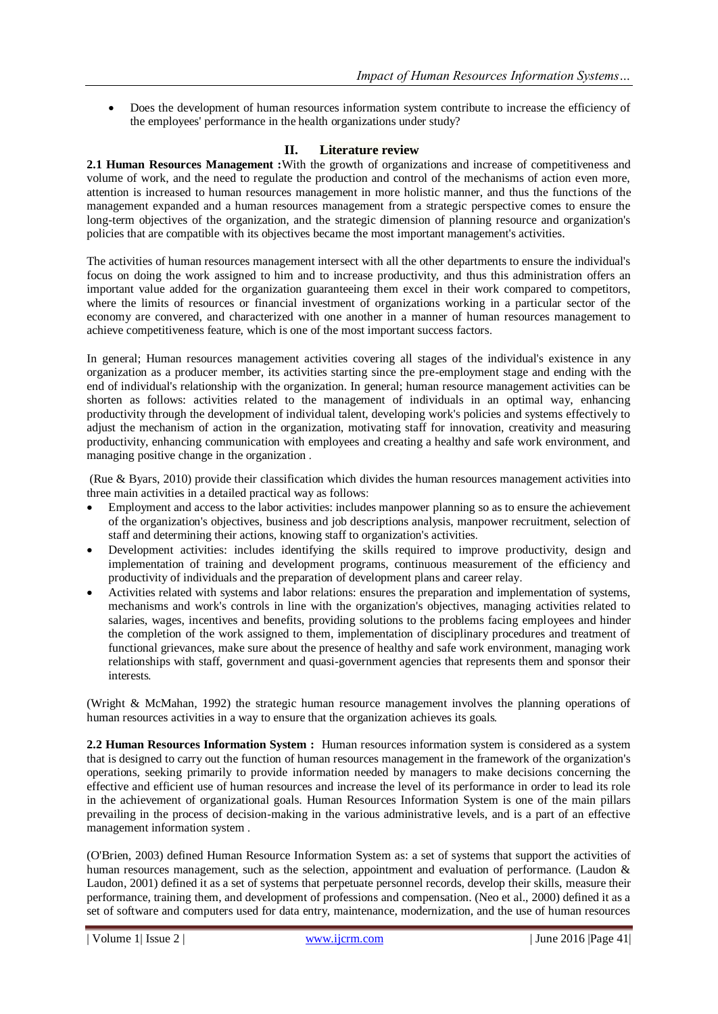Does the development of human resources information system contribute to increase the efficiency of the employees' performance in the health organizations under study?

## **II. Literature review**

**2.1 Human Resources Management :**With the growth of organizations and increase of competitiveness and volume of work, and the need to regulate the production and control of the mechanisms of action even more, attention is increased to human resources management in more holistic manner, and thus the functions of the management expanded and a human resources management from a strategic perspective comes to ensure the long-term objectives of the organization, and the strategic dimension of planning resource and organization's policies that are compatible with its objectives became the most important management's activities.

The activities of human resources management intersect with all the other departments to ensure the individual's focus on doing the work assigned to him and to increase productivity, and thus this administration offers an important value added for the organization guaranteeing them excel in their work compared to competitors, where the limits of resources or financial investment of organizations working in a particular sector of the economy are convered, and characterized with one another in a manner of human resources management to achieve competitiveness feature, which is one of the most important success factors.

In general; Human resources management activities covering all stages of the individual's existence in any organization as a producer member, its activities starting since the pre-employment stage and ending with the end of individual's relationship with the organization. In general; human resource management activities can be shorten as follows: activities related to the management of individuals in an optimal way, enhancing productivity through the development of individual talent, developing work's policies and systems effectively to adjust the mechanism of action in the organization, motivating staff for innovation, creativity and measuring productivity, enhancing communication with employees and creating a healthy and safe work environment, and managing positive change in the organization .

(Rue & Byars, 2010) provide their classification which divides the human resources management activities into three main activities in a detailed practical way as follows:

- Employment and access to the labor activities: includes manpower planning so as to ensure the achievement of the organization's objectives, business and job descriptions analysis, manpower recruitment, selection of staff and determining their actions, knowing staff to organization's activities.
- Development activities: includes identifying the skills required to improve productivity, design and implementation of training and development programs, continuous measurement of the efficiency and productivity of individuals and the preparation of development plans and career relay.
- Activities related with systems and labor relations: ensures the preparation and implementation of systems, mechanisms and work's controls in line with the organization's objectives, managing activities related to salaries, wages, incentives and benefits, providing solutions to the problems facing employees and hinder the completion of the work assigned to them, implementation of disciplinary procedures and treatment of functional grievances, make sure about the presence of healthy and safe work environment, managing work relationships with staff, government and quasi-government agencies that represents them and sponsor their interests.

(Wright & McMahan, 1992) the strategic human resource management involves the planning operations of human resources activities in a way to ensure that the organization achieves its goals.

**2.2 Human Resources Information System :** Human resources information system is considered as a system that is designed to carry out the function of human resources management in the framework of the organization's operations, seeking primarily to provide information needed by managers to make decisions concerning the effective and efficient use of human resources and increase the level of its performance in order to lead its role in the achievement of organizational goals. Human Resources Information System is one of the main pillars prevailing in the process of decision-making in the various administrative levels, and is a part of an effective management information system .

(O'Brien, 2003) defined Human Resource Information System as: a set of systems that support the activities of human resources management, such as the selection, appointment and evaluation of performance. (Laudon & Laudon, 2001) defined it as a set of systems that perpetuate personnel records, develop their skills, measure their performance, training them, and development of professions and compensation. (Neo et al., 2000) defined it as a set of software and computers used for data entry, maintenance, modernization, and the use of human resources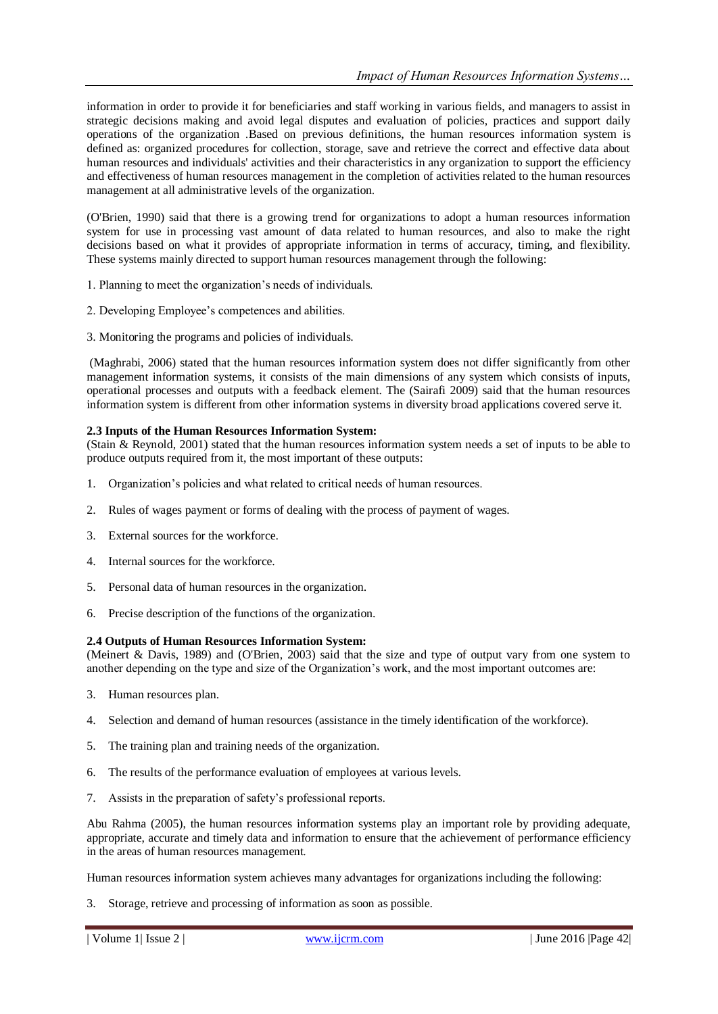information in order to provide it for beneficiaries and staff working in various fields, and managers to assist in strategic decisions making and avoid legal disputes and evaluation of policies, practices and support daily operations of the organization .Based on previous definitions, the human resources information system is defined as: organized procedures for collection, storage, save and retrieve the correct and effective data about human resources and individuals' activities and their characteristics in any organization to support the efficiency and effectiveness of human resources management in the completion of activities related to the human resources management at all administrative levels of the organization.

(O'Brien, 1990) said that there is a growing trend for organizations to adopt a human resources information system for use in processing vast amount of data related to human resources, and also to make the right decisions based on what it provides of appropriate information in terms of accuracy, timing, and flexibility. These systems mainly directed to support human resources management through the following:

- 1. Planning to meet the organization's needs of individuals.
- 2. Developing Employee's competences and abilities.
- 3. Monitoring the programs and policies of individuals.

(Maghrabi, 2006) stated that the human resources information system does not differ significantly from other management information systems, it consists of the main dimensions of any system which consists of inputs, operational processes and outputs with a feedback element. The (Sairafi 2009) said that the human resources information system is different from other information systems in diversity broad applications covered serve it.

#### **2.3 Inputs of the Human Resources Information System:**

(Stain & Reynold, 2001) stated that the human resources information system needs a set of inputs to be able to produce outputs required from it, the most important of these outputs:

- 1. Organization's policies and what related to critical needs of human resources.
- 2. Rules of wages payment or forms of dealing with the process of payment of wages.
- 3. External sources for the workforce.
- 4. Internal sources for the workforce.
- 5. Personal data of human resources in the organization.
- 6. Precise description of the functions of the organization.

#### **2.4 Outputs of Human Resources Information System:**

(Meinert & Davis, 1989) and (O'Brien, 2003) said that the size and type of output vary from one system to another depending on the type and size of the Organization's work, and the most important outcomes are:

- 3. Human resources plan.
- 4. Selection and demand of human resources (assistance in the timely identification of the workforce).
- 5. The training plan and training needs of the organization.
- 6. The results of the performance evaluation of employees at various levels.
- 7. Assists in the preparation of safety's professional reports.

Abu Rahma (2005), the human resources information systems play an important role by providing adequate, appropriate, accurate and timely data and information to ensure that the achievement of performance efficiency in the areas of human resources management.

Human resources information system achieves many advantages for organizations including the following:

3. Storage, retrieve and processing of information as soon as possible.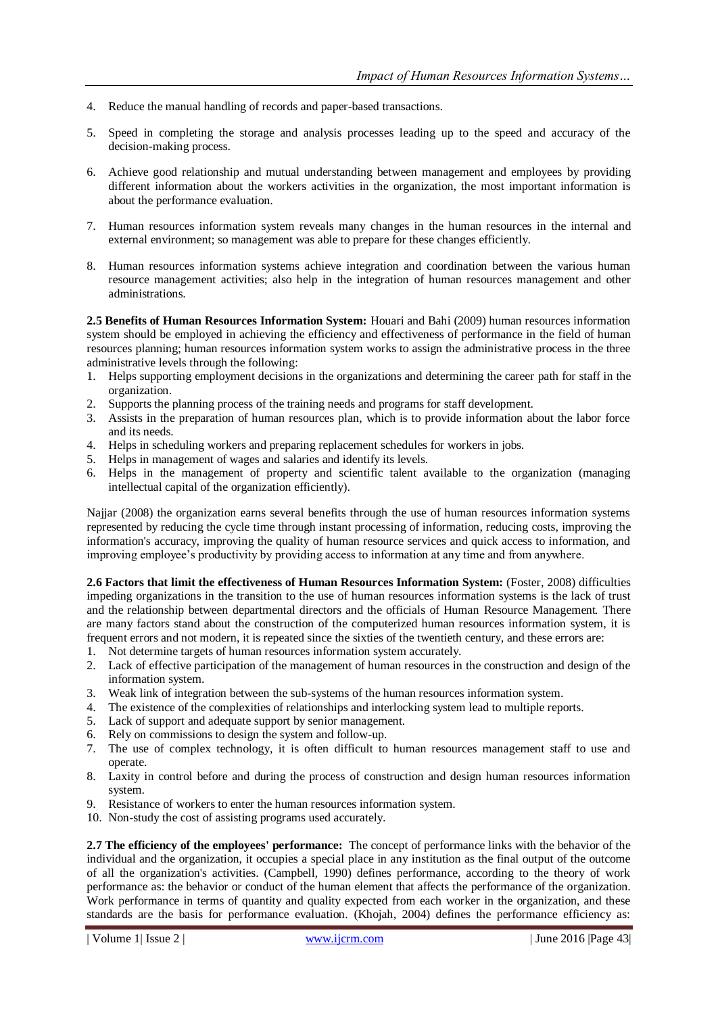- 4. Reduce the manual handling of records and paper-based transactions.
- 5. Speed in completing the storage and analysis processes leading up to the speed and accuracy of the decision-making process.
- 6. Achieve good relationship and mutual understanding between management and employees by providing different information about the workers activities in the organization, the most important information is about the performance evaluation.
- 7. Human resources information system reveals many changes in the human resources in the internal and external environment; so management was able to prepare for these changes efficiently.
- 8. Human resources information systems achieve integration and coordination between the various human resource management activities; also help in the integration of human resources management and other administrations.

**2.5 Benefits of Human Resources Information System:** Houari and Bahi (2009) human resources information system should be employed in achieving the efficiency and effectiveness of performance in the field of human resources planning; human resources information system works to assign the administrative process in the three administrative levels through the following:

- 1. Helps supporting employment decisions in the organizations and determining the career path for staff in the organization.
- 2. Supports the planning process of the training needs and programs for staff development.
- 3. Assists in the preparation of human resources plan, which is to provide information about the labor force and its needs.
- 4. Helps in scheduling workers and preparing replacement schedules for workers in jobs.
- 5. Helps in management of wages and salaries and identify its levels.
- 6. Helps in the management of property and scientific talent available to the organization (managing intellectual capital of the organization efficiently).

Najjar (2008) the organization earns several benefits through the use of human resources information systems represented by reducing the cycle time through instant processing of information, reducing costs, improving the information's accuracy, improving the quality of human resource services and quick access to information, and improving employee's productivity by providing access to information at any time and from anywhere.

**2.6 Factors that limit the effectiveness of Human Resources Information System:** (Foster, 2008) difficulties impeding organizations in the transition to the use of human resources information systems is the lack of trust and the relationship between departmental directors and the officials of Human Resource Management. There are many factors stand about the construction of the computerized human resources information system, it is frequent errors and not modern, it is repeated since the sixties of the twentieth century, and these errors are:

- 1. Not determine targets of human resources information system accurately.
- 2. Lack of effective participation of the management of human resources in the construction and design of the information system.
- 3. Weak link of integration between the sub-systems of the human resources information system.
- 4. The existence of the complexities of relationships and interlocking system lead to multiple reports.
- 5. Lack of support and adequate support by senior management.
- 6. Rely on commissions to design the system and follow-up.
- 7. The use of complex technology, it is often difficult to human resources management staff to use and operate.
- 8. Laxity in control before and during the process of construction and design human resources information system.
- 9. Resistance of workers to enter the human resources information system.
- 10. Non-study the cost of assisting programs used accurately.

**2.7 The efficiency of the employees' performance:** The concept of performance links with the behavior of the individual and the organization, it occupies a special place in any institution as the final output of the outcome of all the organization's activities. (Campbell, 1990) defines performance, according to the theory of work performance as: the behavior or conduct of the human element that affects the performance of the organization. Work performance in terms of quantity and quality expected from each worker in the organization, and these standards are the basis for performance evaluation. (Khojah, 2004) defines the performance efficiency as: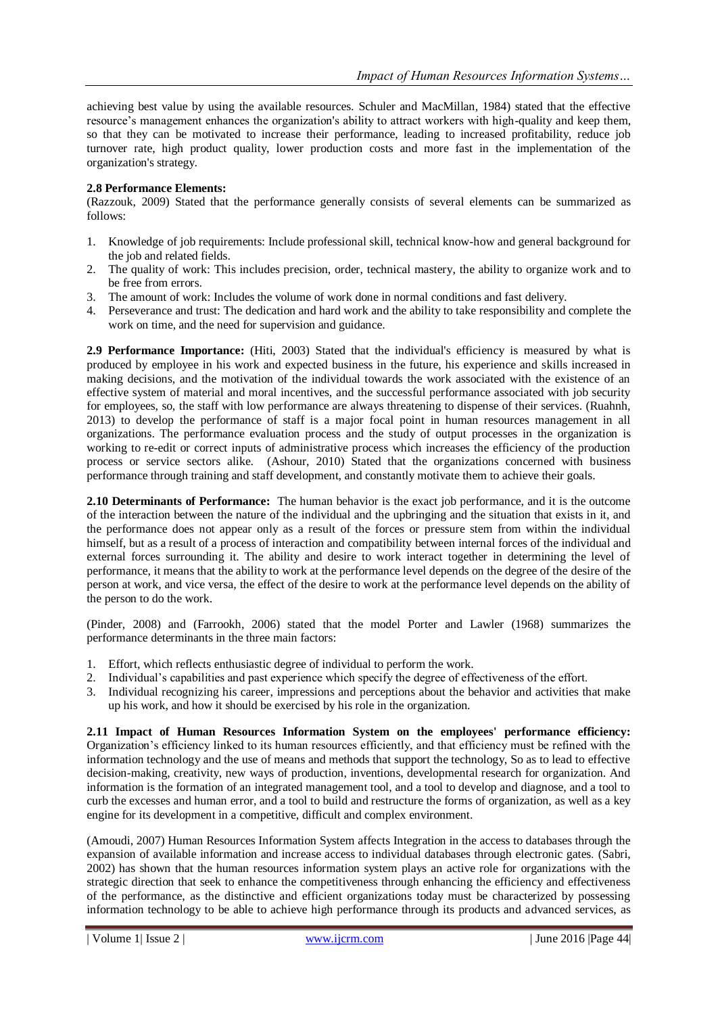achieving best value by using the available resources. Schuler and MacMillan, 1984) stated that the effective resource's management enhances the organization's ability to attract workers with high-quality and keep them, so that they can be motivated to increase their performance, leading to increased profitability, reduce job turnover rate, high product quality, lower production costs and more fast in the implementation of the organization's strategy.

#### **2.8 Performance Elements:**

(Razzouk, 2009) Stated that the performance generally consists of several elements can be summarized as follows:

- 1. Knowledge of job requirements: Include professional skill, technical know-how and general background for the job and related fields.
- 2. The quality of work: This includes precision, order, technical mastery, the ability to organize work and to be free from errors.
- 3. The amount of work: Includes the volume of work done in normal conditions and fast delivery.
- 4. Perseverance and trust: The dedication and hard work and the ability to take responsibility and complete the work on time, and the need for supervision and guidance.

**2.9 Performance Importance:** (Hiti, 2003) Stated that the individual's efficiency is measured by what is produced by employee in his work and expected business in the future, his experience and skills increased in making decisions, and the motivation of the individual towards the work associated with the existence of an effective system of material and moral incentives, and the successful performance associated with job security for employees, so, the staff with low performance are always threatening to dispense of their services. (Ruahnh, 2013) to develop the performance of staff is a major focal point in human resources management in all organizations. The performance evaluation process and the study of output processes in the organization is working to re-edit or correct inputs of administrative process which increases the efficiency of the production process or service sectors alike. (Ashour, 2010) Stated that the organizations concerned with business performance through training and staff development, and constantly motivate them to achieve their goals.

**2.10 Determinants of Performance:** The human behavior is the exact job performance, and it is the outcome of the interaction between the nature of the individual and the upbringing and the situation that exists in it, and the performance does not appear only as a result of the forces or pressure stem from within the individual himself, but as a result of a process of interaction and compatibility between internal forces of the individual and external forces surrounding it. The ability and desire to work interact together in determining the level of performance, it means that the ability to work at the performance level depends on the degree of the desire of the person at work, and vice versa, the effect of the desire to work at the performance level depends on the ability of the person to do the work.

(Pinder, 2008) and (Farrookh, 2006) stated that the model Porter and Lawler (1968) summarizes the performance determinants in the three main factors:

- 1. Effort, which reflects enthusiastic degree of individual to perform the work.
- 2. Individual's capabilities and past experience which specify the degree of effectiveness of the effort.
- 3. Individual recognizing his career, impressions and perceptions about the behavior and activities that make up his work, and how it should be exercised by his role in the organization.

**2.11 Impact of Human Resources Information System on the employees' performance efficiency:**  Organization's efficiency linked to its human resources efficiently, and that efficiency must be refined with the information technology and the use of means and methods that support the technology, So as to lead to effective decision-making, creativity, new ways of production, inventions, developmental research for organization. And information is the formation of an integrated management tool, and a tool to develop and diagnose, and a tool to curb the excesses and human error, and a tool to build and restructure the forms of organization, as well as a key engine for its development in a competitive, difficult and complex environment.

(Amoudi, 2007) Human Resources Information System affects Integration in the access to databases through the expansion of available information and increase access to individual databases through electronic gates. (Sabri, 2002) has shown that the human resources information system plays an active role for organizations with the strategic direction that seek to enhance the competitiveness through enhancing the efficiency and effectiveness of the performance, as the distinctive and efficient organizations today must be characterized by possessing information technology to be able to achieve high performance through its products and advanced services, as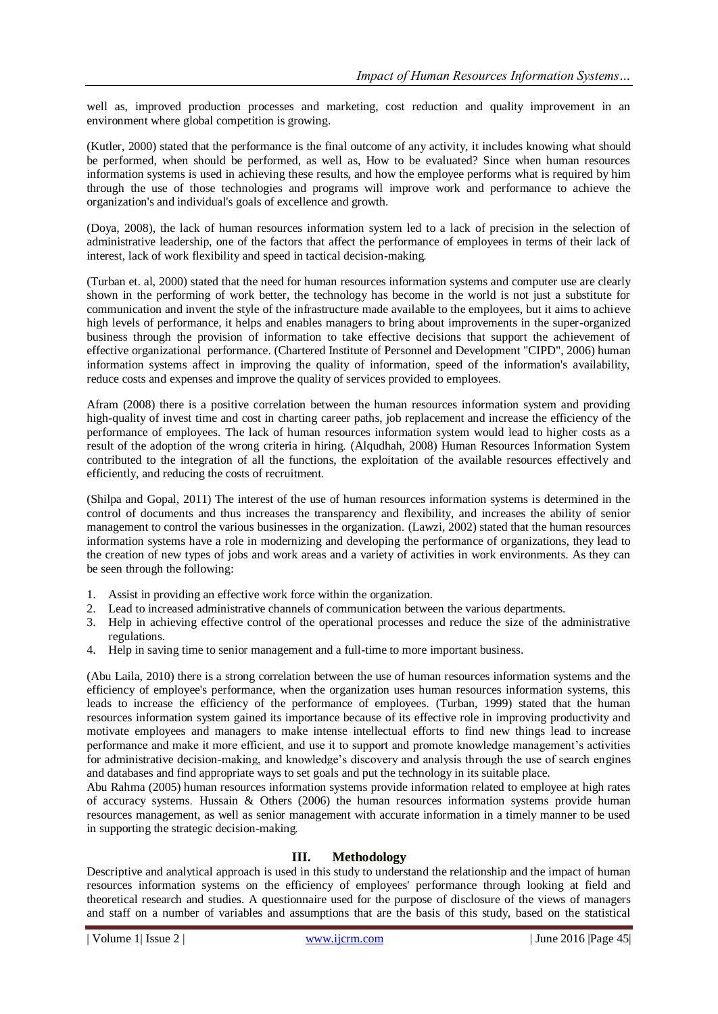well as, improved production processes and marketing, cost reduction and quality improvement in an environment where global competition is growing.

(Kutler, 2000) stated that the performance is the final outcome of any activity, it includes knowing what should be performed, when should be performed, as well as, How to be evaluated? Since when human resources information systems is used in achieving these results, and how the employee performs what is required by him through the use of those technologies and programs will improve work and performance to achieve the organization's and individual's goals of excellence and growth.

(Doya, 2008), the lack of human resources information system led to a lack of precision in the selection of administrative leadership, one of the factors that affect the performance of employees in terms of their lack of interest, lack of work flexibility and speed in tactical decision-making.

(Turban et. al, 2000) stated that the need for human resources information systems and computer use are clearly shown in the performing of work better, the technology has become in the world is not just a substitute for communication and invent the style of the infrastructure made available to the employees, but it aims to achieve high levels of performance, it helps and enables managers to bring about improvements in the super-organized business through the provision of information to take effective decisions that support the achievement of effective organizational performance. (Chartered Institute of Personnel and Development "CIPD", 2006) human information systems affect in improving the quality of information, speed of the information's availability, reduce costs and expenses and improve the quality of services provided to employees.

Afram (2008) there is a positive correlation between the human resources information system and providing high-quality of invest time and cost in charting career paths, job replacement and increase the efficiency of the performance of employees. The lack of human resources information system would lead to higher costs as a result of the adoption of the wrong criteria in hiring. (Alqudhah, 2008) Human Resources Information System contributed to the integration of all the functions, the exploitation of the available resources effectively and efficiently, and reducing the costs of recruitment.

(Shilpa and Gopal, 2011) The interest of the use of human resources information systems is determined in the control of documents and thus increases the transparency and flexibility, and increases the ability of senior management to control the various businesses in the organization. (Lawzi, 2002) stated that the human resources information systems have a role in modernizing and developing the performance of organizations, they lead to the creation of new types of jobs and work areas and a variety of activities in work environments. As they can be seen through the following:

- 1. Assist in providing an effective work force within the organization.
- 2. Lead to increased administrative channels of communication between the various departments.
- 3. Help in achieving effective control of the operational processes and reduce the size of the administrative regulations.
- 4. Help in saving time to senior management and a full-time to more important business.

(Abu Laila, 2010) there is a strong correlation between the use of human resources information systems and the efficiency of employee's performance, when the organization uses human resources information systems, this leads to increase the efficiency of the performance of employees. (Turban, 1999) stated that the human resources information system gained its importance because of its effective role in improving productivity and motivate employees and managers to make intense intellectual efforts to find new things lead to increase performance and make it more efficient, and use it to support and promote knowledge management's activities for administrative decision-making, and knowledge's discovery and analysis through the use of search engines and databases and find appropriate ways to set goals and put the technology in its suitable place.

Abu Rahma (2005) human resources information systems provide information related to employee at high rates of accuracy systems. Hussain & Others (2006) the human resources information systems provide human resources management, as well as senior management with accurate information in a timely manner to be used in supporting the strategic decision-making.

#### **III. Methodology**

Descriptive and analytical approach is used in this study to understand the relationship and the impact of human resources information systems on the efficiency of employees' performance through looking at field and theoretical research and studies. A questionnaire used for the purpose of disclosure of the views of managers and staff on a number of variables and assumptions that are the basis of this study, based on the statistical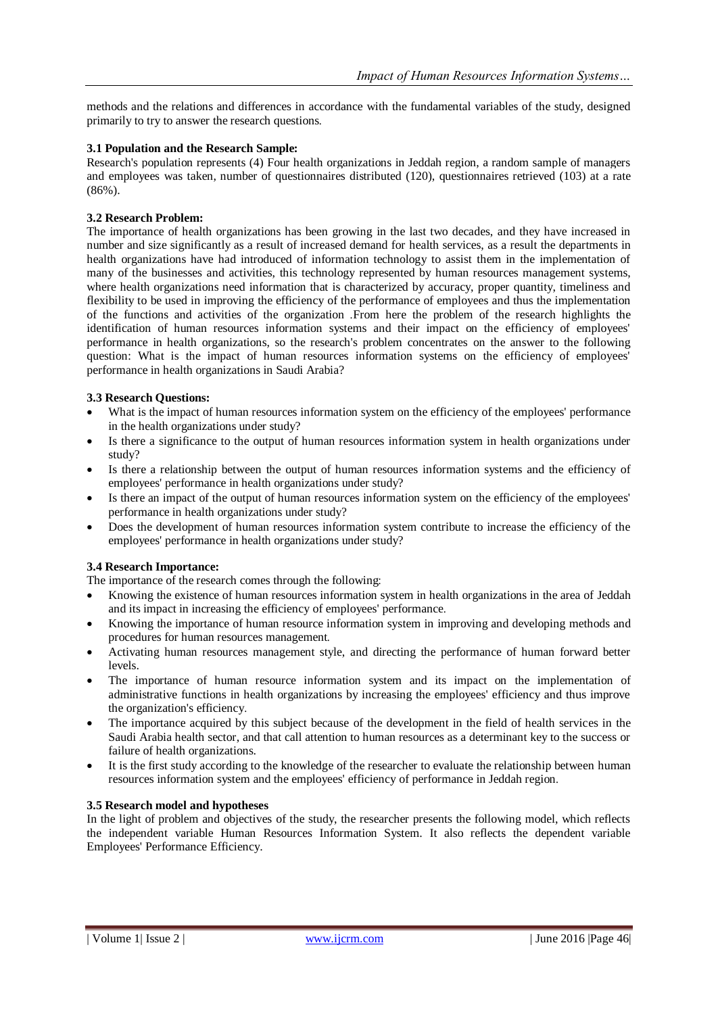methods and the relations and differences in accordance with the fundamental variables of the study, designed primarily to try to answer the research questions.

#### **3.1 Population and the Research Sample:**

Research's population represents (4) Four health organizations in Jeddah region, a random sample of managers and employees was taken, number of questionnaires distributed (120), questionnaires retrieved (103) at a rate (86%).

#### **3.2 Research Problem:**

The importance of health organizations has been growing in the last two decades, and they have increased in number and size significantly as a result of increased demand for health services, as a result the departments in health organizations have had introduced of information technology to assist them in the implementation of many of the businesses and activities, this technology represented by human resources management systems, where health organizations need information that is characterized by accuracy, proper quantity, timeliness and flexibility to be used in improving the efficiency of the performance of employees and thus the implementation of the functions and activities of the organization .From here the problem of the research highlights the identification of human resources information systems and their impact on the efficiency of employees' performance in health organizations, so the research's problem concentrates on the answer to the following question: What is the impact of human resources information systems on the efficiency of employees' performance in health organizations in Saudi Arabia?

#### **3.3 Research Questions:**

- What is the impact of human resources information system on the efficiency of the employees' performance in the health organizations under study?
- Is there a significance to the output of human resources information system in health organizations under study?
- Is there a relationship between the output of human resources information systems and the efficiency of employees' performance in health organizations under study?
- Is there an impact of the output of human resources information system on the efficiency of the employees' performance in health organizations under study?
- Does the development of human resources information system contribute to increase the efficiency of the employees' performance in health organizations under study?

#### **3.4 Research Importance:**

The importance of the research comes through the following:

- Knowing the existence of human resources information system in health organizations in the area of Jeddah and its impact in increasing the efficiency of employees' performance.
- Knowing the importance of human resource information system in improving and developing methods and procedures for human resources management.
- Activating human resources management style, and directing the performance of human forward better levels.
- The importance of human resource information system and its impact on the implementation of administrative functions in health organizations by increasing the employees' efficiency and thus improve the organization's efficiency.
- The importance acquired by this subject because of the development in the field of health services in the Saudi Arabia health sector, and that call attention to human resources as a determinant key to the success or failure of health organizations.
- It is the first study according to the knowledge of the researcher to evaluate the relationship between human resources information system and the employees' efficiency of performance in Jeddah region.

#### **3.5 Research model and hypotheses**

In the light of problem and objectives of the study, the researcher presents the following model, which reflects the independent variable Human Resources Information System. It also reflects the dependent variable Employees' Performance Efficiency.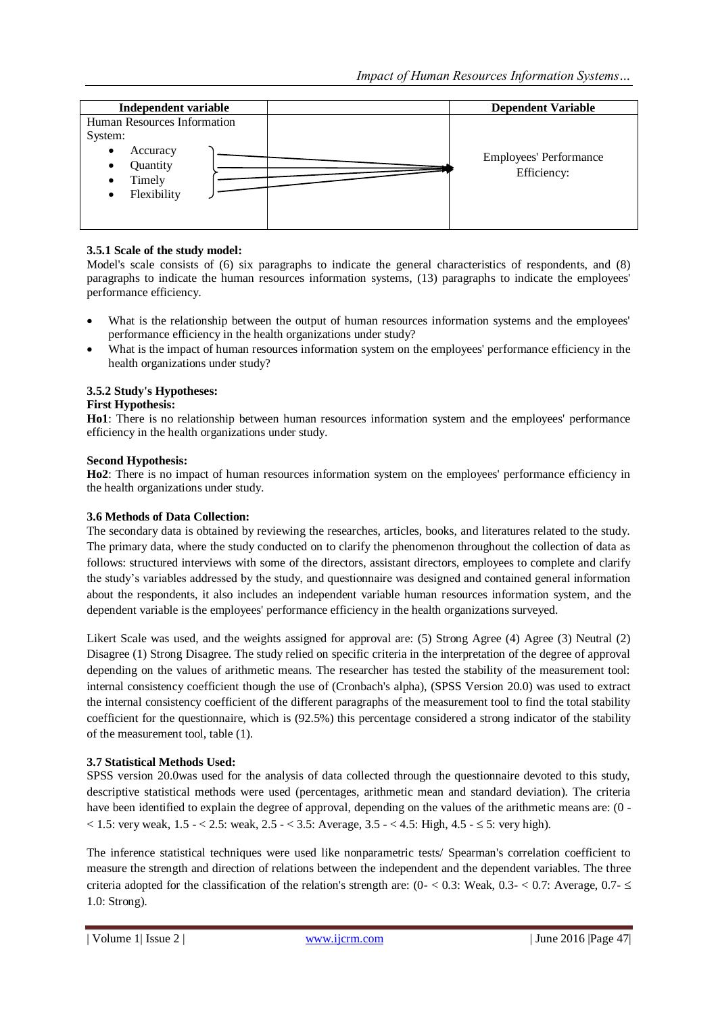| Independent variable                                                                                        | <b>Dependent Variable</b>             |
|-------------------------------------------------------------------------------------------------------------|---------------------------------------|
| Human Resources Information<br>System:<br>Accuracy<br>٠<br>Quantity<br>٠<br>Timely<br>٠<br>Flexibility<br>٠ | Employees' Performance<br>Efficiency: |

## **3.5.1 Scale of the study model:**

Model's scale consists of (6) six paragraphs to indicate the general characteristics of respondents, and (8) paragraphs to indicate the human resources information systems, (13) paragraphs to indicate the employees' performance efficiency.

- What is the relationship between the output of human resources information systems and the employees' performance efficiency in the health organizations under study?
- What is the impact of human resources information system on the employees' performance efficiency in the health organizations under study?

## **3.5.2 Study's Hypotheses:**

#### **First Hypothesis:**

**Ho1**: There is no relationship between human resources information system and the employees' performance efficiency in the health organizations under study.

#### **Second Hypothesis:**

**Ho2**: There is no impact of human resources information system on the employees' performance efficiency in the health organizations under study.

#### **3.6 Methods of Data Collection:**

The secondary data is obtained by reviewing the researches, articles, books, and literatures related to the study. The primary data, where the study conducted on to clarify the phenomenon throughout the collection of data as follows: structured interviews with some of the directors, assistant directors, employees to complete and clarify the study's variables addressed by the study, and questionnaire was designed and contained general information about the respondents, it also includes an independent variable human resources information system, and the dependent variable is the employees' performance efficiency in the health organizations surveyed.

Likert Scale was used, and the weights assigned for approval are: (5) Strong Agree (4) Agree (3) Neutral (2) Disagree (1) Strong Disagree. The study relied on specific criteria in the interpretation of the degree of approval depending on the values of arithmetic means. The researcher has tested the stability of the measurement tool: internal consistency coefficient though the use of (Cronbach's alpha), (SPSS Version 20.0) was used to extract the internal consistency coefficient of the different paragraphs of the measurement tool to find the total stability coefficient for the questionnaire, which is (92.5%) this percentage considered a strong indicator of the stability of the measurement tool, table (1).

#### **3.7 Statistical Methods Used:**

SPSS version 20.0was used for the analysis of data collected through the questionnaire devoted to this study, descriptive statistical methods were used (percentages, arithmetic mean and standard deviation). The criteria have been identified to explain the degree of approval, depending on the values of the arithmetic means are: (0 - $< 1.5$ : very weak,  $1.5 - < 2.5$ : weak,  $2.5 - < 3.5$ : Average,  $3.5 - < 4.5$ : High,  $4.5 - \le 5$ : very high).

The inference statistical techniques were used like nonparametric tests/ Spearman's correlation coefficient to measure the strength and direction of relations between the independent and the dependent variables. The three criteria adopted for the classification of the relation's strength are:  $(0 - < 0.3$ : Weak,  $0.3 - < 0.7$ : Average,  $0.7 - \le$ 1.0: Strong).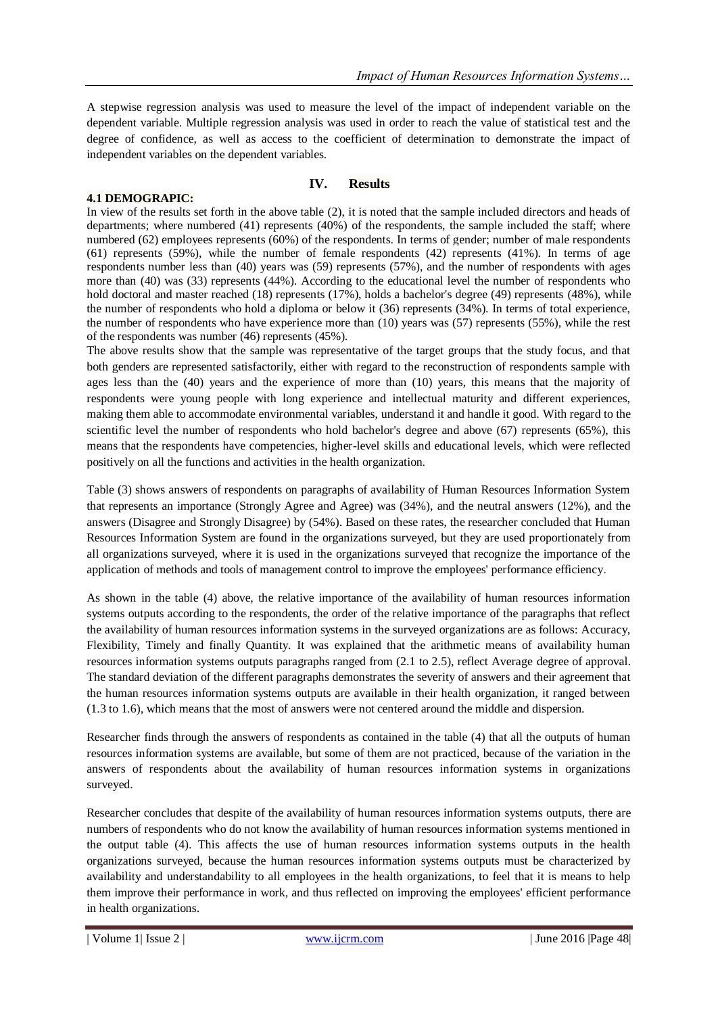A stepwise regression analysis was used to measure the level of the impact of independent variable on the dependent variable. Multiple regression analysis was used in order to reach the value of statistical test and the degree of confidence, as well as access to the coefficient of determination to demonstrate the impact of independent variables on the dependent variables.

## **IV. Results**

## **4.1 DEMOGRAPIC:**

In view of the results set forth in the above table (2), it is noted that the sample included directors and heads of departments; where numbered (41) represents (40%) of the respondents, the sample included the staff; where numbered (62) employees represents (60%) of the respondents. In terms of gender; number of male respondents (61) represents (59%), while the number of female respondents (42) represents (41%). In terms of age respondents number less than (40) years was (59) represents (57%), and the number of respondents with ages more than (40) was (33) represents (44%). According to the educational level the number of respondents who hold doctoral and master reached (18) represents (17%), holds a bachelor's degree (49) represents (48%), while the number of respondents who hold a diploma or below it (36) represents (34%). In terms of total experience, the number of respondents who have experience more than (10) years was (57) represents (55%), while the rest of the respondents was number (46) represents (45%).

The above results show that the sample was representative of the target groups that the study focus, and that both genders are represented satisfactorily, either with regard to the reconstruction of respondents sample with ages less than the (40) years and the experience of more than (10) years, this means that the majority of respondents were young people with long experience and intellectual maturity and different experiences, making them able to accommodate environmental variables, understand it and handle it good. With regard to the scientific level the number of respondents who hold bachelor's degree and above (67) represents (65%), this means that the respondents have competencies, higher-level skills and educational levels, which were reflected positively on all the functions and activities in the health organization.

Table (3) shows answers of respondents on paragraphs of availability of Human Resources Information System that represents an importance (Strongly Agree and Agree) was (34%), and the neutral answers (12%), and the answers (Disagree and Strongly Disagree) by (54%). Based on these rates, the researcher concluded that Human Resources Information System are found in the organizations surveyed, but they are used proportionately from all organizations surveyed, where it is used in the organizations surveyed that recognize the importance of the application of methods and tools of management control to improve the employees' performance efficiency.

As shown in the table (4) above, the relative importance of the availability of human resources information systems outputs according to the respondents, the order of the relative importance of the paragraphs that reflect the availability of human resources information systems in the surveyed organizations are as follows: Accuracy, Flexibility, Timely and finally Quantity. It was explained that the arithmetic means of availability human resources information systems outputs paragraphs ranged from (2.1 to 2.5), reflect Average degree of approval. The standard deviation of the different paragraphs demonstrates the severity of answers and their agreement that the human resources information systems outputs are available in their health organization, it ranged between (1.3 to 1.6), which means that the most of answers were not centered around the middle and dispersion.

Researcher finds through the answers of respondents as contained in the table (4) that all the outputs of human resources information systems are available, but some of them are not practiced, because of the variation in the answers of respondents about the availability of human resources information systems in organizations surveyed.

Researcher concludes that despite of the availability of human resources information systems outputs, there are numbers of respondents who do not know the availability of human resources information systems mentioned in the output table (4). This affects the use of human resources information systems outputs in the health organizations surveyed, because the human resources information systems outputs must be characterized by availability and understandability to all employees in the health organizations, to feel that it is means to help them improve their performance in work, and thus reflected on improving the employees' efficient performance in health organizations.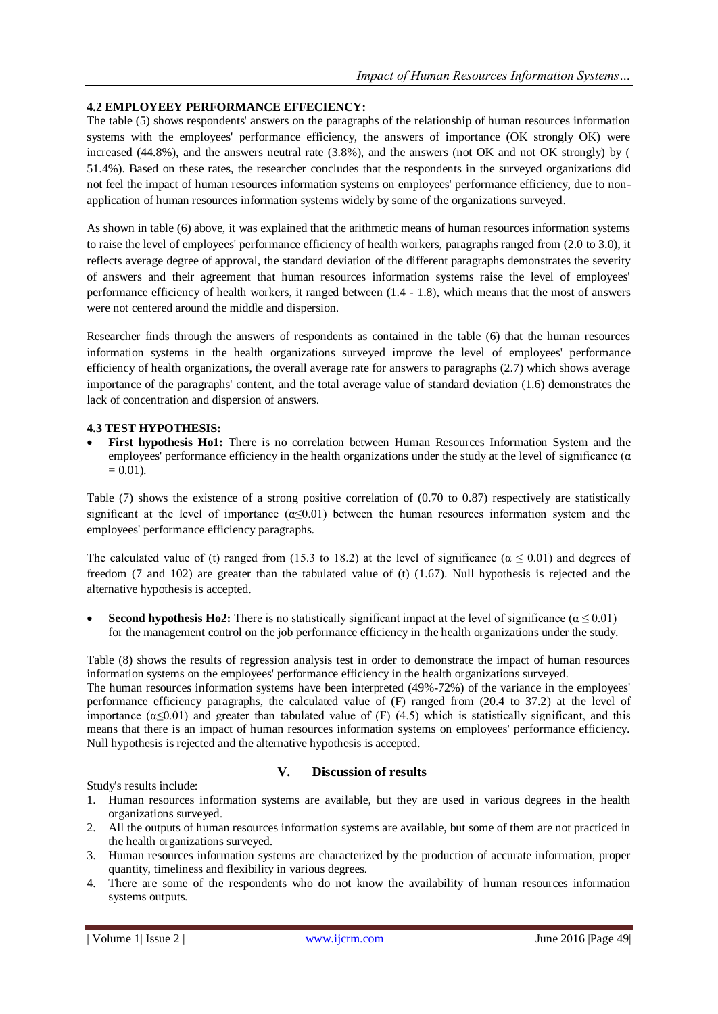## **4.2 EMPLOYEEY PERFORMANCE EFFECIENCY:**

The table (5) shows respondents' answers on the paragraphs of the relationship of human resources information systems with the employees' performance efficiency, the answers of importance (OK strongly OK) were increased (44.8%), and the answers neutral rate (3.8%), and the answers (not OK and not OK strongly) by ( 51.4%). Based on these rates, the researcher concludes that the respondents in the surveyed organizations did not feel the impact of human resources information systems on employees' performance efficiency, due to nonapplication of human resources information systems widely by some of the organizations surveyed.

As shown in table (6) above, it was explained that the arithmetic means of human resources information systems to raise the level of employees' performance efficiency of health workers, paragraphs ranged from (2.0 to 3.0), it reflects average degree of approval, the standard deviation of the different paragraphs demonstrates the severity of answers and their agreement that human resources information systems raise the level of employees' performance efficiency of health workers, it ranged between (1.4 - 1.8), which means that the most of answers were not centered around the middle and dispersion.

Researcher finds through the answers of respondents as contained in the table (6) that the human resources information systems in the health organizations surveyed improve the level of employees' performance efficiency of health organizations, the overall average rate for answers to paragraphs (2.7) which shows average importance of the paragraphs' content, and the total average value of standard deviation (1.6) demonstrates the lack of concentration and dispersion of answers.

#### **4.3 TEST HYPOTHESIS:**

 **First hypothesis Ho1:** There is no correlation between Human Resources Information System and the employees' performance efficiency in the health organizations under the study at the level of significance ( $\alpha$ )  $= 0.01$ .

Table (7) shows the existence of a strong positive correlation of (0.70 to 0.87) respectively are statistically significant at the level of importance  $(\alpha \le 0.01)$  between the human resources information system and the employees' performance efficiency paragraphs.

The calculated value of (t) ranged from (15.3 to 18.2) at the level of significance ( $\alpha \le 0.01$ ) and degrees of freedom (7 and 102) are greater than the tabulated value of (t) (1.67). Null hypothesis is rejected and the alternative hypothesis is accepted.

**Second hypothesis Ho2:** There is no statistically significant impact at the level of significance ( $\alpha \le 0.01$ ) for the management control on the job performance efficiency in the health organizations under the study.

Table (8) shows the results of regression analysis test in order to demonstrate the impact of human resources information systems on the employees' performance efficiency in the health organizations surveyed.

The human resources information systems have been interpreted (49%-72%) of the variance in the employees' performance efficiency paragraphs, the calculated value of (F) ranged from (20.4 to 37.2) at the level of importance  $(\alpha \le 0.01)$  and greater than tabulated value of (F) (4.5) which is statistically significant, and this means that there is an impact of human resources information systems on employees' performance efficiency. Null hypothesis is rejected and the alternative hypothesis is accepted.

## **V. Discussion of results**

Study's results include:

- 1. Human resources information systems are available, but they are used in various degrees in the health organizations surveyed.
- 2. All the outputs of human resources information systems are available, but some of them are not practiced in the health organizations surveyed.
- 3. Human resources information systems are characterized by the production of accurate information, proper quantity, timeliness and flexibility in various degrees.
- 4. There are some of the respondents who do not know the availability of human resources information systems outputs.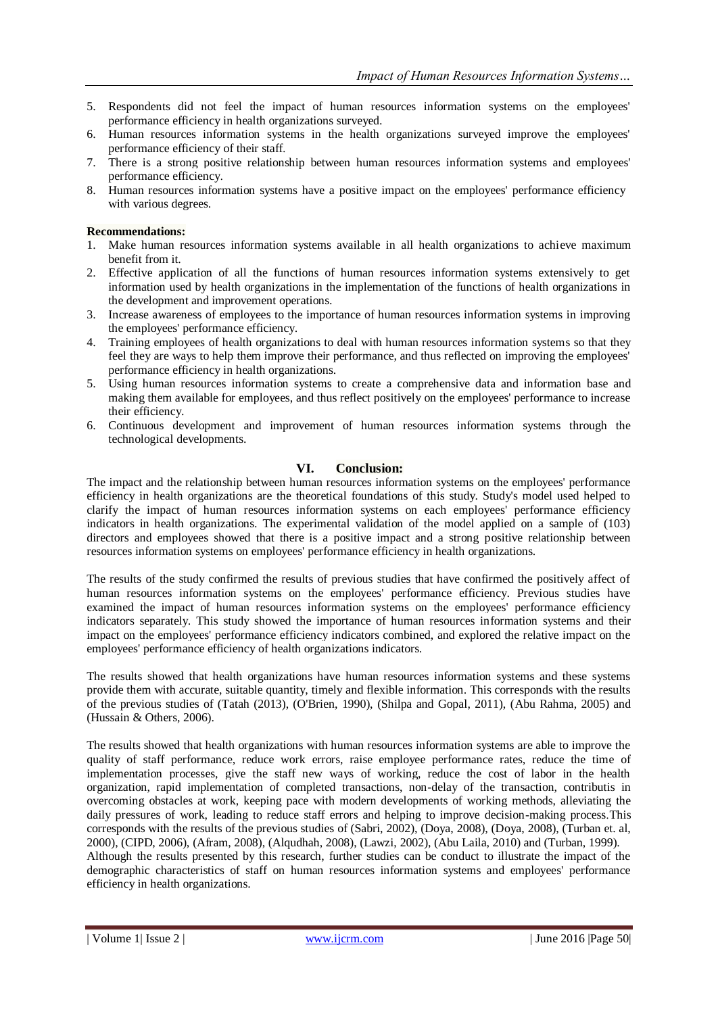- 5. Respondents did not feel the impact of human resources information systems on the employees' performance efficiency in health organizations surveyed.
- 6. Human resources information systems in the health organizations surveyed improve the employees' performance efficiency of their staff.
- 7. There is a strong positive relationship between human resources information systems and employees' performance efficiency.
- 8. Human resources information systems have a positive impact on the employees' performance efficiency with various degrees.

#### **Recommendations:**

- 1. Make human resources information systems available in all health organizations to achieve maximum benefit from it.
- 2. Effective application of all the functions of human resources information systems extensively to get information used by health organizations in the implementation of the functions of health organizations in the development and improvement operations.
- 3. Increase awareness of employees to the importance of human resources information systems in improving the employees' performance efficiency.
- 4. Training employees of health organizations to deal with human resources information systems so that they feel they are ways to help them improve their performance, and thus reflected on improving the employees' performance efficiency in health organizations.
- 5. Using human resources information systems to create a comprehensive data and information base and making them available for employees, and thus reflect positively on the employees' performance to increase their efficiency.
- 6. Continuous development and improvement of human resources information systems through the technological developments.

## **VI. Conclusion:**

The impact and the relationship between human resources information systems on the employees' performance efficiency in health organizations are the theoretical foundations of this study. Study's model used helped to clarify the impact of human resources information systems on each employees' performance efficiency indicators in health organizations. The experimental validation of the model applied on a sample of (103) directors and employees showed that there is a positive impact and a strong positive relationship between resources information systems on employees' performance efficiency in health organizations.

The results of the study confirmed the results of previous studies that have confirmed the positively affect of human resources information systems on the employees' performance efficiency. Previous studies have examined the impact of human resources information systems on the employees' performance efficiency indicators separately. This study showed the importance of human resources information systems and their impact on the employees' performance efficiency indicators combined, and explored the relative impact on the employees' performance efficiency of health organizations indicators.

The results showed that health organizations have human resources information systems and these systems provide them with accurate, suitable quantity, timely and flexible information. This corresponds with the results of the previous studies of (Tatah (2013), (O'Brien, 1990), (Shilpa and Gopal, 2011), (Abu Rahma, 2005) and (Hussain & Others, 2006).

The results showed that health organizations with human resources information systems are able to improve the quality of staff performance, reduce work errors, raise employee performance rates, reduce the time of implementation processes, give the staff new ways of working, reduce the cost of labor in the health organization, rapid implementation of completed transactions, non-delay of the transaction, contributis in overcoming obstacles at work, keeping pace with modern developments of working methods, alleviating the daily pressures of work, leading to reduce staff errors and helping to improve decision-making process.This corresponds with the results of the previous studies of (Sabri, 2002), (Doya, 2008), (Doya, 2008), (Turban et. al, 2000), (CIPD, 2006), (Afram, 2008), (Alqudhah, 2008), (Lawzi, 2002), (Abu Laila, 2010) and (Turban, 1999). Although the results presented by this research, further studies can be conduct to illustrate the impact of the demographic characteristics of staff on human resources information systems and employees' performance efficiency in health organizations.